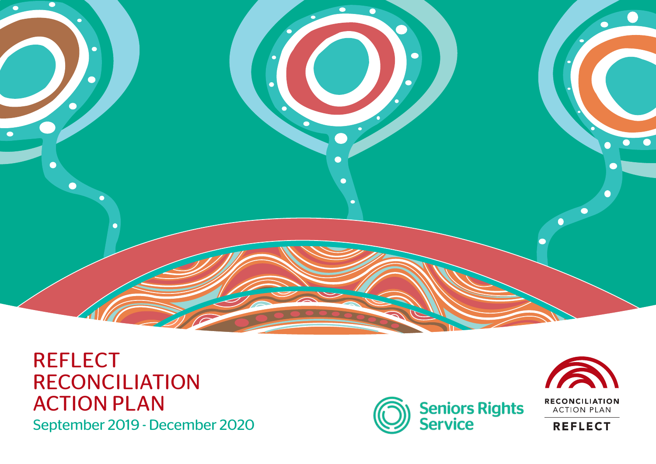

#### **REFLECT** RECONCILIATION ACTION PLAN September 2019 - December 2020





**ACTION PLAN** 

**REFLECT**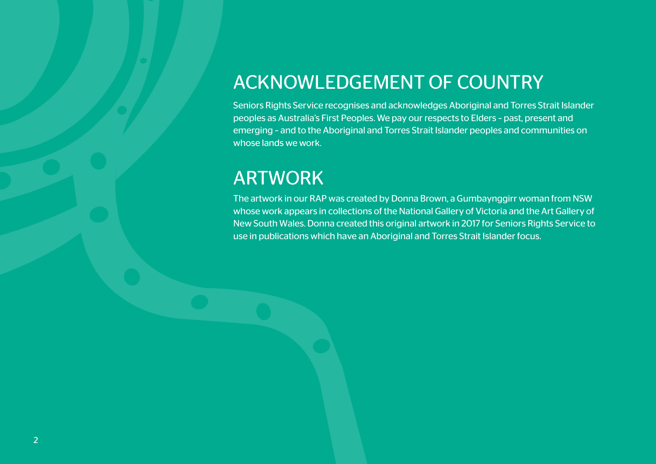### ACKNOWLEDGEMENT OF COUNTRY

Seniors Rights Service recognises and acknowledges Aboriginal and Torres Strait Islander peoples as Australia's First Peoples. We pay our respects to Elders – past, present and emerging – and to the Aboriginal and Torres Strait Islander peoples and communities on whose lands we work.

### ARTWORK

The artwork in our RAP was created by Donna Brown, a Gumbaynggirr woman from NSW whose work appears in collections of the National Gallery of Victoria and the Art Gallery of New South Wales. Donna created this original artwork in 2017 for Seniors Rights Service to use in publications which have an Aboriginal and Torres Strait Islander focus.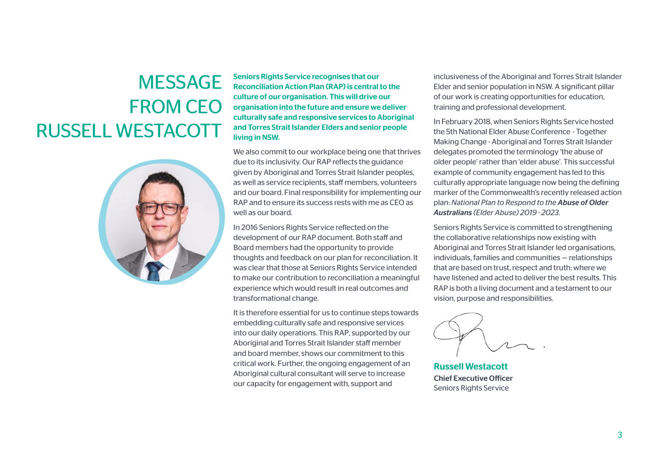# MESSAGE FROM CEO RUSSELL WESTACOTT



Seniors Rights Service recognises that our Reconciliation Action Plan (RAP) is central to the culture of our organisation. This will drive our organisation into the future and ensure we deliver culturally safe and responsive services to Aboriginal and Torres Strait Islander Elders and senior people living in NSW.

We also commit to our workplace being one that thrives due to its inclusivity. Our RAP reflects the guidance given by Aboriginal and Torres Strait Islander peoples, as well as service recipients, staff members, volunteers and our board. Final responsibility for implementing our RAP and to ensure its success rests with me as CEO as well as our board.

In 2016 Seniors Rights Service reflected on the development of our RAP document. Both staff and Board members had the opportunity to provide thoughts and feedback on our plan for reconciliation. It was clear that those at Seniors Rights Service intended to make our contribution to reconciliation a meaningful experience which would result in real outcomes and transformational change.

It is therefore essential for us to continue steps towards embedding culturally safe and responsive services into our daily operations. This RAP, supported by our Aboriginal and Torres Strait Islander staff member and board member, shows our commitment to this critical work. Further, the ongoing engagement of an Aboriginal cultural consultant will serve to increase our capacity for engagement with, support and

inclusiveness of the Aboriginal and Torres Strait Islander Elder and senior population in NSW. A significant pillar of our work is creating opportunities for education, training and professional development.

In February 2018, when Seniors Rights Service hosted the 5th National Elder Abuse Conference - Together Making Change - Aboriginal and Torres Strait Islander delegates promoted the terminology 'the abuse of older people' rather than 'elder abuse'. This successful example of community engagement has led to this culturally appropriate language now being the defining marker of the Commonwealth's recently released action plan: *National Plan to Respond to the Abuse of Older Australians (Elder Abuse) 2019 - 2023*.

Seniors Rights Service is committed to strengthening the collaborative relationships now existing with Aboriginal and Torres Strait Islander led organisations, individuals, families and communities — relationships that are based on trust, respect and truth: where we have listened and acted to deliver the best results. This RAP is both a living document and a testament to our vision, purpose and responsibilities.

Russell Westacott Chief Executive Officer Seniors Rights Service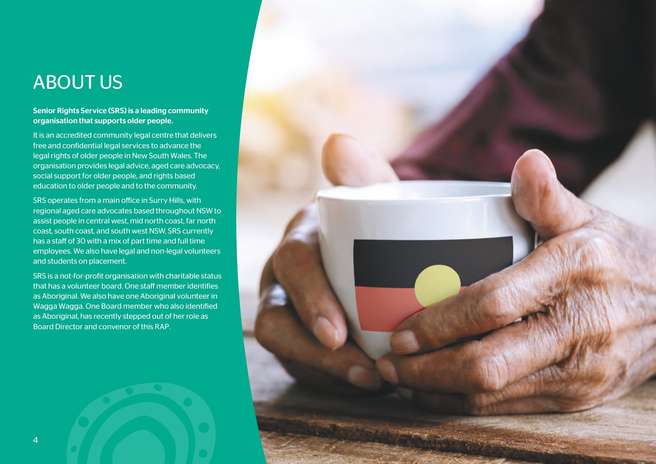### ABOUT US

#### Senior Rights Service (SRS) is a leading community organisation that supports older people.

It is an accredited community legal centre that delivers free and confidential legal services to advance the legal rights of older people in New South Wales. The organisation provides legal advice, aged care advocacy, social support for older people, and rights based education to older people and to the community.

SRS operates from a main office in Surry Hills, with regional aged care advocates based throughout NSW to assist people in central west, mid north coast, far north coast, south coast, and south west NSW. SRS currently has a staff of 30 with a mix of part time and full time employees. We also have legal and non-legal volunteers and students on placement.

SRS is a not-for-profit organisation with charitable status that has a volunteer board. One staff member identifies as Aboriginal. We also have one Aboriginal volunteer in Wagga Wagga. One Board member who also identified as Aboriginal, has recently stepped out of her role as Board Director and convenor of this RAP.

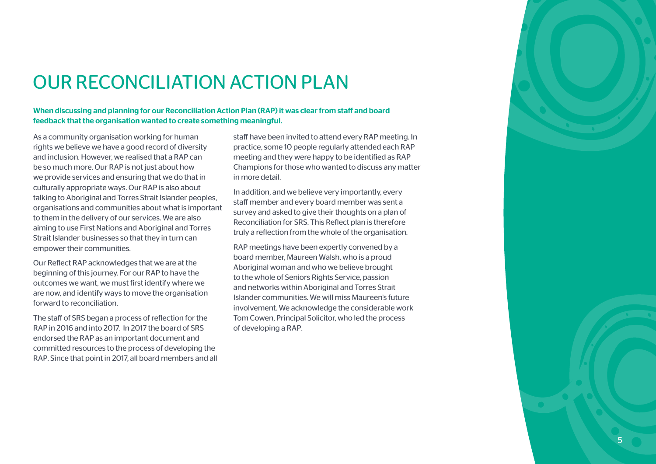

## OUR RECONCILIATION ACTION PLAN

#### When discussing and planning for our Reconciliation Action Plan (RAP) it was clear from staff and board feedback that the organisation wanted to create something meaningful.

As a community organisation working for human rights we believe we have a good record of diversity and inclusion. However, we realised that a RAP can be so much more. Our RAP is not just about how we provide services and ensuring that we do that in culturally appropriate ways. Our RAP is also about talking to Aboriginal and Torres Strait Islander peoples, organisations and communities about what is important to them in the delivery of our services. We are also aiming to use First Nations and Aboriginal and Torres Strait Islander businesses so that they in turn can empower their communities.

Our Reflect RAP acknowledges that we are at the beginning of this journey. For our RAP to have the outcomes we want, we must first identify where we are now, and identify ways to move the organisation forward to reconciliation.

The staff of SRS began a process of reflection for the RAP in 2016 and into 2017. In 2017 the board of SRS endorsed the RAP as an important document and committed resources to the process of developing the RAP. Since that point in 2017, all board members and all staff have been invited to attend every RAP meeting. In practice, some 10 people regularly attended each RAP meeting and they were happy to be identified as RAP Champions for those who wanted to discuss any matter in more detail.

In addition, and we believe very importantly, every staff member and every board member was sent a survey and asked to give their thoughts on a plan of Reconciliation for SRS. This Reflect plan is therefore truly a reflection from the whole of the organisation.

RAP meetings have been expertly convened by a board member, Maureen Walsh, who is a proud Aboriginal woman and who we believe brought to the whole of Seniors Rights Service, passion and networks within Aboriginal and Torres Strait Islander communities. We will miss Maureen's future involvement. We acknowledge the considerable work Tom Cowen, Principal Solicitor, who led the process of developing a RAP.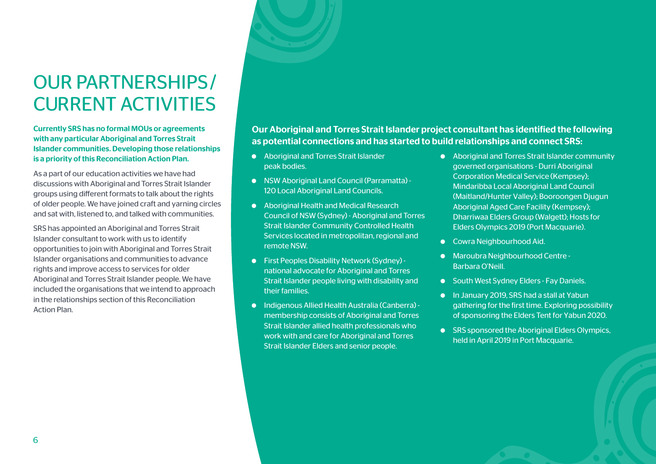# OUR PARTNERSHIPS / CURRENT ACTIVITIES

Currently SRS has no formal MOUs or agreements with any particular Aboriginal and Torres Strait Islander communities. Developing those relationships is a priority of this Reconciliation Action Plan.

As a part of our education activities we have had discussions with Aboriginal and Torres Strait Islander groups using different formats to talk about the rights of older people. We have joined craft and yarning circles and sat with, listened to, and talked with communities.

SRS has appointed an Aboriginal and Torres Strait Islander consultant to work with us to identify opportunities to join with Aboriginal and Torres Strait Islander organisations and communities to advance rights and improve access to services for older Aboriginal and Torres Strait Islander people. We have included the organisations that we intend to approach in the relationships section of this Reconciliation Action Plan.

Our Aboriginal and Torres Strait Islander project consultant has identified the following as potential connections and has started to build relationships and connect SRS:

- � Aboriginal and Torres Strait Islander peak bodies.
- � NSW Aboriginal Land Council (Parramatta) 120 Local Aboriginal Land Councils.
- � Aboriginal Health and Medical Research Council of NSW (Sydney) - Aboriginal and Torres Strait Islander Community Controlled Health Services located in metropolitan, regional and remote NSW.
- � First Peoples Disability Network (Sydney) national advocate for Aboriginal and Torres Strait Islander people living with disability and their families.
- � Indigenous Allied Health Australia (Canberra) membership consists of Aboriginal and Torres Strait Islander allied health professionals who work with and care for Aboriginal and Torres Strait Islander Elders and senior people.
- � Aboriginal and Torres Strait Islander community governed organisations - Durri Aboriginal Corporation Medical Service (Kempsey); Mindaribba Local Aboriginal Land Council (Maitland/Hunter Valley); Booroongen Djugun Aboriginal Aged Care Facility (Kempsey); Dharriwaa Elders Group (Walgett); Hosts for Elders Olympics 2019 (Port Macquarie).
- Cowra Neighbourhood Aid.
- � Maroubra Neighbourhood Centre Barbara O'Neill.
- South West Sydney Elders Fay Daniels.
- � In January 2019, SRS had a stall at Yabun gathering for the first time. Exploring possibility of sponsoring the Elders Tent for Yabun 2020.
- SRS sponsored the Aboriginal Elders Olympics, held in April 2019 in Port Macquarie.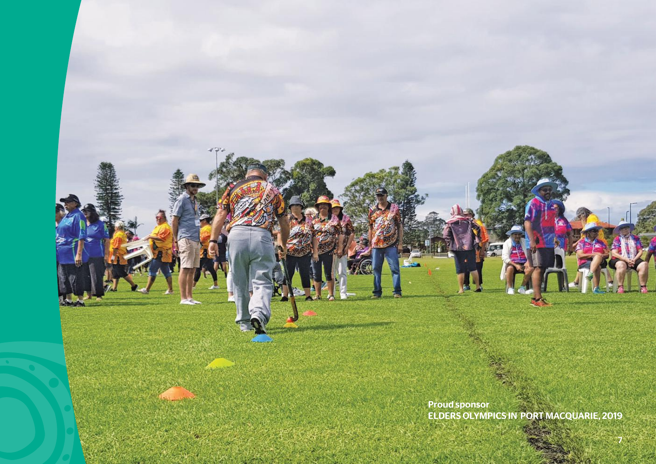Proud sponsor ELDERS OLYMPICS IN PORT MACQUARIE, 2019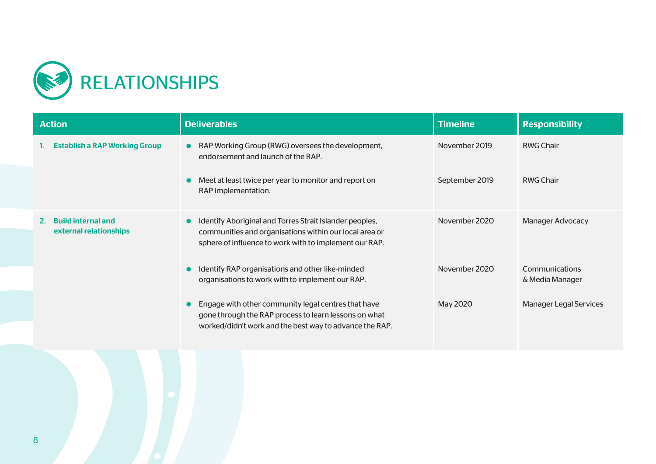

| <b>Action</b>                                             | <b>Deliverables</b>                                                                                                                                                                      | <b>Timeline</b> | <b>Responsibility</b>             |
|-----------------------------------------------------------|------------------------------------------------------------------------------------------------------------------------------------------------------------------------------------------|-----------------|-----------------------------------|
| <b>Establish a RAP Working Group</b>                      | RAP Working Group (RWG) oversees the development,<br>$\bullet$<br>endorsement and launch of the RAP.                                                                                     | November 2019   | <b>RWG Chair</b>                  |
|                                                           | Meet at least twice per year to monitor and report on<br>$\bullet$<br>RAP implementation.                                                                                                | September 2019  | <b>RWG Chair</b>                  |
| <b>Build internal and</b><br>2.<br>external relationships | Identify Aboriginal and Torres Strait Islander peoples,<br>$\bullet$<br>communities and organisations within our local area or<br>sphere of influence to work with to implement our RAP. | November 2020   | <b>Manager Advocacy</b>           |
|                                                           | Identify RAP organisations and other like-minded<br>$\bullet$<br>organisations to work with to implement our RAP.                                                                        | November 2020   | Communications<br>& Media Manager |
|                                                           | Engage with other community legal centres that have<br>$\bullet$<br>gone through the RAP process to learn lessons on what<br>worked/didn't work and the best way to advance the RAP.     | May 2020        | <b>Manager Legal Services</b>     |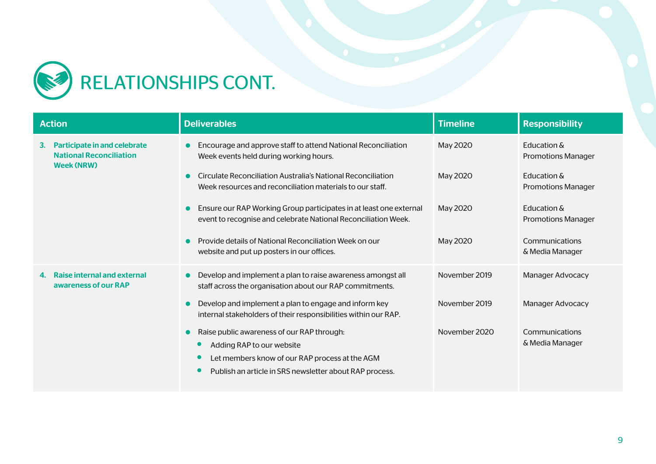

| <b>Action</b><br><b>Deliverables</b>                                                      |                                                                                                                                      | <b>Timeline</b> | <b>Responsibility</b>                    |
|-------------------------------------------------------------------------------------------|--------------------------------------------------------------------------------------------------------------------------------------|-----------------|------------------------------------------|
| Participate in and celebrate<br>3.<br><b>National Reconciliation</b><br><b>Week (NRW)</b> | Encourage and approve staff to attend National Reconciliation<br>Week events held during working hours.                              | May 2020        | Education &<br><b>Promotions Manager</b> |
|                                                                                           | Circulate Reconciliation Australia's National Reconciliation<br>Week resources and reconciliation materials to our staff.            | May 2020        | Education &<br><b>Promotions Manager</b> |
|                                                                                           | Ensure our RAP Working Group participates in at least one external<br>event to recognise and celebrate National Reconciliation Week. | May 2020        | Education &<br><b>Promotions Manager</b> |
|                                                                                           | Provide details of National Reconciliation Week on our<br>website and put up posters in our offices.                                 | May 2020        | Communications<br>& Media Manager        |
| <b>Raise internal and external</b><br>4.<br>awareness of our RAP                          | Develop and implement a plan to raise awareness amongst all<br>staff across the organisation about our RAP commitments.              | November 2019   | <b>Manager Advocacy</b>                  |
|                                                                                           | Develop and implement a plan to engage and inform key<br>internal stakeholders of their responsibilities within our RAP.             | November 2019   | Manager Advocacy                         |
|                                                                                           | Raise public awareness of our RAP through:<br>Adding RAP to our website<br>$\bullet$                                                 | November 2020   | Communications<br>& Media Manager        |
|                                                                                           | Let members know of our RAP process at the AGM                                                                                       |                 |                                          |
|                                                                                           | Publish an article in SRS newsletter about RAP process.                                                                              |                 |                                          |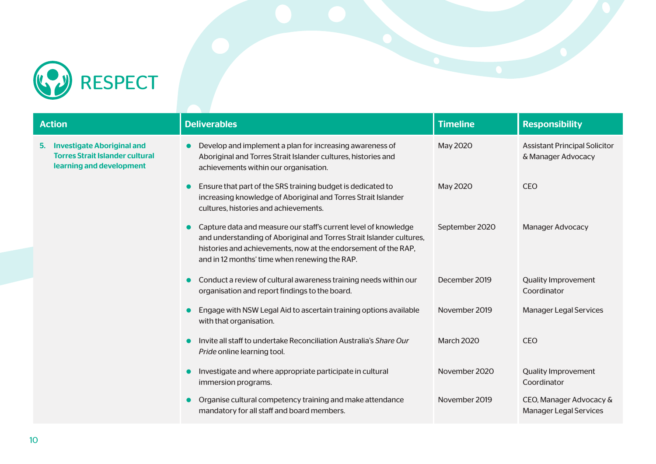

| <b>Action</b> |                                                                                                         | <b>Deliverables</b>                                                                                                                                                                                                                                        | <b>Timeline</b>   | <b>Responsibility</b>                                      |
|---------------|---------------------------------------------------------------------------------------------------------|------------------------------------------------------------------------------------------------------------------------------------------------------------------------------------------------------------------------------------------------------------|-------------------|------------------------------------------------------------|
| 5.            | <b>Investigate Aboriginal and</b><br><b>Torres Strait Islander cultural</b><br>learning and development | Develop and implement a plan for increasing awareness of<br>Aboriginal and Torres Strait Islander cultures, histories and<br>achievements within our organisation.                                                                                         | May 2020          | <b>Assistant Principal Solicitor</b><br>& Manager Advocacy |
|               |                                                                                                         | Ensure that part of the SRS training budget is dedicated to<br>increasing knowledge of Aboriginal and Torres Strait Islander<br>cultures, histories and achievements.                                                                                      | May 2020          | <b>CEO</b>                                                 |
|               |                                                                                                         | Capture data and measure our staff's current level of knowledge<br>and understanding of Aboriginal and Torres Strait Islander cultures,<br>histories and achievements, now at the endorsement of the RAP,<br>and in 12 months' time when renewing the RAP. | September 2020    | <b>Manager Advocacy</b>                                    |
|               |                                                                                                         | Conduct a review of cultural awareness training needs within our<br>organisation and report findings to the board.                                                                                                                                         | December 2019     | <b>Quality Improvement</b><br>Coordinator                  |
|               |                                                                                                         | Engage with NSW Legal Aid to ascertain training options available<br>with that organisation.                                                                                                                                                               | November 2019     | <b>Manager Legal Services</b>                              |
|               |                                                                                                         | Invite all staff to undertake Reconciliation Australia's Share Our<br>Pride online learning tool.                                                                                                                                                          | <b>March 2020</b> | <b>CEO</b>                                                 |
|               |                                                                                                         | Investigate and where appropriate participate in cultural<br>immersion programs.                                                                                                                                                                           | November 2020     | <b>Quality Improvement</b><br>Coordinator                  |
|               |                                                                                                         | Organise cultural competency training and make attendance<br>mandatory for all staff and board members.                                                                                                                                                    | November 2019     | CEO, Manager Advocacy &<br><b>Manager Legal Services</b>   |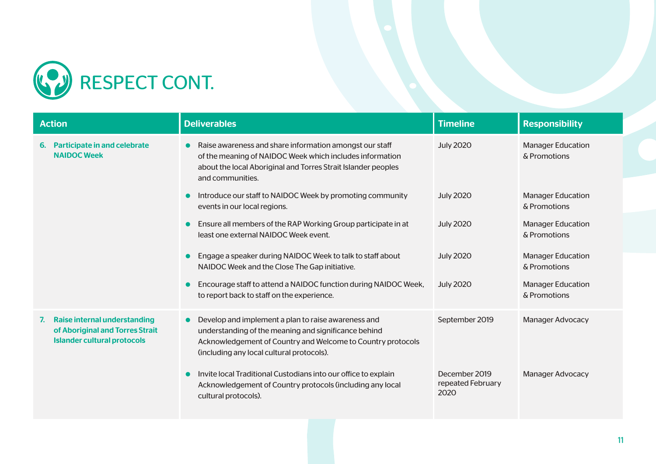

| <b>Action</b><br><b>Deliverables</b>                                                                        |                                                                                                                                                                                                                                      | <b>Timeline</b>                            | <b>Responsibility</b>                    |
|-------------------------------------------------------------------------------------------------------------|--------------------------------------------------------------------------------------------------------------------------------------------------------------------------------------------------------------------------------------|--------------------------------------------|------------------------------------------|
| Participate in and celebrate<br>6.<br><b>NAIDOC Week</b>                                                    | Raise awareness and share information amongst our staff<br>of the meaning of NAIDOC Week which includes information<br>about the local Aboriginal and Torres Strait Islander peoples<br>and communities.                             | <b>July 2020</b>                           | <b>Manager Education</b><br>& Promotions |
|                                                                                                             | Introduce our staff to NAIDOC Week by promoting community<br>$\bullet$<br>events in our local regions.                                                                                                                               | <b>July 2020</b>                           | <b>Manager Education</b><br>& Promotions |
|                                                                                                             | Ensure all members of the RAP Working Group participate in at<br>$\bullet$<br>least one external NAIDOC Week event.                                                                                                                  | <b>July 2020</b>                           | <b>Manager Education</b><br>& Promotions |
|                                                                                                             | Engage a speaker during NAIDOC Week to talk to staff about<br>$\bullet$<br>NAIDOC Week and the Close The Gap initiative.                                                                                                             | <b>July 2020</b>                           | <b>Manager Education</b><br>& Promotions |
|                                                                                                             | Encourage staff to attend a NAIDOC function during NAIDOC Week,<br>O<br>to report back to staff on the experience.                                                                                                                   | <b>July 2020</b>                           | <b>Manager Education</b><br>& Promotions |
| Raise internal understanding<br>7.<br>of Aboriginal and Torres Strait<br><b>Islander cultural protocols</b> | Develop and implement a plan to raise awareness and<br>$\bullet$<br>understanding of the meaning and significance behind<br>Acknowledgement of Country and Welcome to Country protocols<br>(including any local cultural protocols). | September 2019                             | Manager Advocacy                         |
|                                                                                                             | Invite local Traditional Custodians into our office to explain<br>$\bullet$<br>Acknowledgement of Country protocols (including any local<br>cultural protocols).                                                                     | December 2019<br>repeated February<br>2020 | <b>Manager Advocacy</b>                  |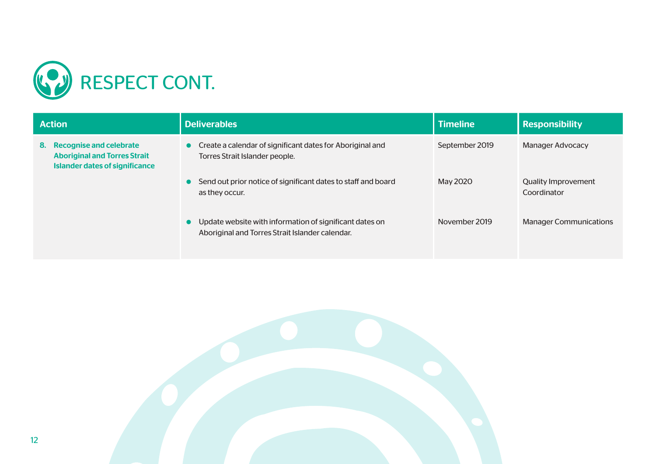

#### 8. Recognise and celebrate Aboriginal and Torres Strait Islander dates of significance

| <b>Action</b>                                                                                              | <b>Deliverables</b>                                                                                        | <b>Timeline</b> | <b>Responsibility</b>                     |
|------------------------------------------------------------------------------------------------------------|------------------------------------------------------------------------------------------------------------|-----------------|-------------------------------------------|
| 8. Recognise and celebrate<br><b>Aboriginal and Torres Strait</b><br><b>Islander dates of significance</b> | Create a calendar of significant dates for Aboriginal and<br>Torres Strait Islander people.                | September 2019  | Manager Advocacy                          |
|                                                                                                            | Send out prior notice of significant dates to staff and board<br>as they occur.                            | May 2020        | <b>Quality Improvement</b><br>Coordinator |
|                                                                                                            | Update website with information of significant dates on<br>Aboriginal and Torres Strait Islander calendar. | November 2019   | <b>Manager Communications</b>             |

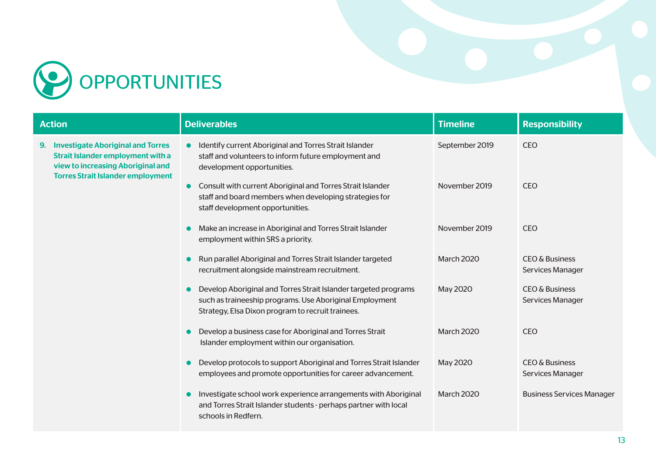

| <b>Action</b>                                                                                                                   | <b>Deliverables</b>                                                                                                                                                             | <b>Timeline</b>   | <b>Responsibility</b>                         |
|---------------------------------------------------------------------------------------------------------------------------------|---------------------------------------------------------------------------------------------------------------------------------------------------------------------------------|-------------------|-----------------------------------------------|
| <b>Investigate Aboriginal and Torres</b><br>9.<br><b>Strait Islander employment with a</b><br>view to increasing Aboriginal and | Identify current Aboriginal and Torres Strait Islander<br>$\bullet$<br>staff and volunteers to inform future employment and<br>development opportunities.                       | September 2019    | <b>CEO</b>                                    |
| <b>Torres Strait Islander employment</b>                                                                                        | <b>Consult with current Aboriginal and Torres Strait Islander</b><br>$\bullet$<br>staff and board members when developing strategies for<br>staff development opportunities.    | November 2019     | <b>CEO</b>                                    |
|                                                                                                                                 | Make an increase in Aboriginal and Torres Strait Islander<br>employment within SRS a priority.                                                                                  | November 2019     | <b>CEO</b>                                    |
|                                                                                                                                 | Run parallel Aboriginal and Torres Strait Islander targeted<br>recruitment alongside mainstream recruitment.                                                                    | <b>March 2020</b> | <b>CEO &amp; Business</b><br>Services Manager |
|                                                                                                                                 | Develop Aboriginal and Torres Strait Islander targeted programs<br>such as traineeship programs. Use Aboriginal Employment<br>Strategy, Elsa Dixon program to recruit trainees. | May 2020          | <b>CEO &amp; Business</b><br>Services Manager |
|                                                                                                                                 | Develop a business case for Aboriginal and Torres Strait<br>Islander employment within our organisation.                                                                        | <b>March 2020</b> | <b>CEO</b>                                    |
|                                                                                                                                 | Develop protocols to support Aboriginal and Torres Strait Islander<br>employees and promote opportunities for career advancement.                                               | May 2020          | <b>CEO &amp; Business</b><br>Services Manager |
|                                                                                                                                 | Investigate school work experience arrangements with Aboriginal<br>and Torres Strait Islander students - perhaps partner with local<br>schools in Redfern.                      | <b>March 2020</b> | <b>Business Services Manager</b>              |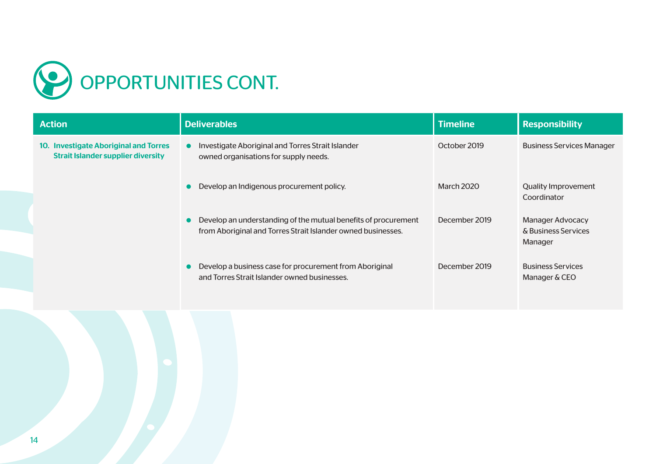

| <b>Action</b>                                                                      | <b>Deliverables</b>                                                                                                            | <b>Timeline</b>   | <b>Responsibility</b>                                     |
|------------------------------------------------------------------------------------|--------------------------------------------------------------------------------------------------------------------------------|-------------------|-----------------------------------------------------------|
| 10. Investigate Aboriginal and Torres<br><b>Strait Islander supplier diversity</b> | Investigate Aboriginal and Torres Strait Islander<br>$\bullet$<br>owned organisations for supply needs.                        | October 2019      | <b>Business Services Manager</b>                          |
|                                                                                    | Develop an Indigenous procurement policy.                                                                                      | <b>March 2020</b> | <b>Quality Improvement</b><br>Coordinator                 |
|                                                                                    | Develop an understanding of the mutual benefits of procurement<br>from Aboriginal and Torres Strait Islander owned businesses. | December 2019     | <b>Manager Advocacy</b><br>& Business Services<br>Manager |
|                                                                                    | Develop a business case for procurement from Aboriginal<br>and Torres Strait Islander owned businesses.                        | December 2019     | <b>Business Services</b><br>Manager & CEO                 |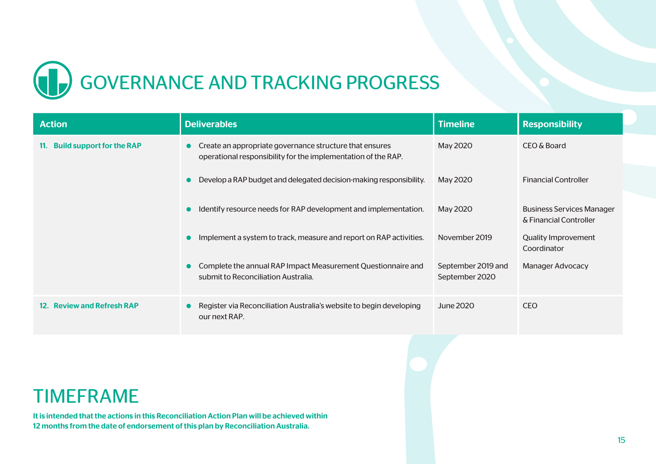

| <b>Action</b>                           | <b>Deliverables</b>                                                                                                        | <b>Timeline</b>                      | <b>Responsibility</b>                                      |
|-----------------------------------------|----------------------------------------------------------------------------------------------------------------------------|--------------------------------------|------------------------------------------------------------|
| <b>Build support for the RAP</b><br>11. | • Create an appropriate governance structure that ensures<br>operational responsibility for the implementation of the RAP. | May 2020                             | CEO & Board                                                |
|                                         | • Develop a RAP budget and delegated decision-making responsibility.                                                       | May 2020                             | <b>Financial Controller</b>                                |
|                                         | Identify resource needs for RAP development and implementation.<br>$\bullet$                                               | May 2020                             | <b>Business Services Manager</b><br>& Financial Controller |
|                                         | Implement a system to track, measure and report on RAP activities.<br>$\bullet$                                            | November 2019                        | <b>Quality Improvement</b><br>Coordinator                  |
|                                         | • Complete the annual RAP Impact Measurement Questionnaire and<br>submit to Reconciliation Australia.                      | September 2019 and<br>September 2020 | <b>Manager Advocacy</b>                                    |
| 12. Review and Refresh RAP              | Register via Reconciliation Australia's website to begin developing<br>$\bullet$<br>our next RAP.                          | June 2020                            | <b>CEO</b>                                                 |

#### TIMEFRAME

It is intended that the actions in this Reconciliation Action Plan will be achieved within 12 months from the date of endorsement of this plan by Reconciliation Australia.